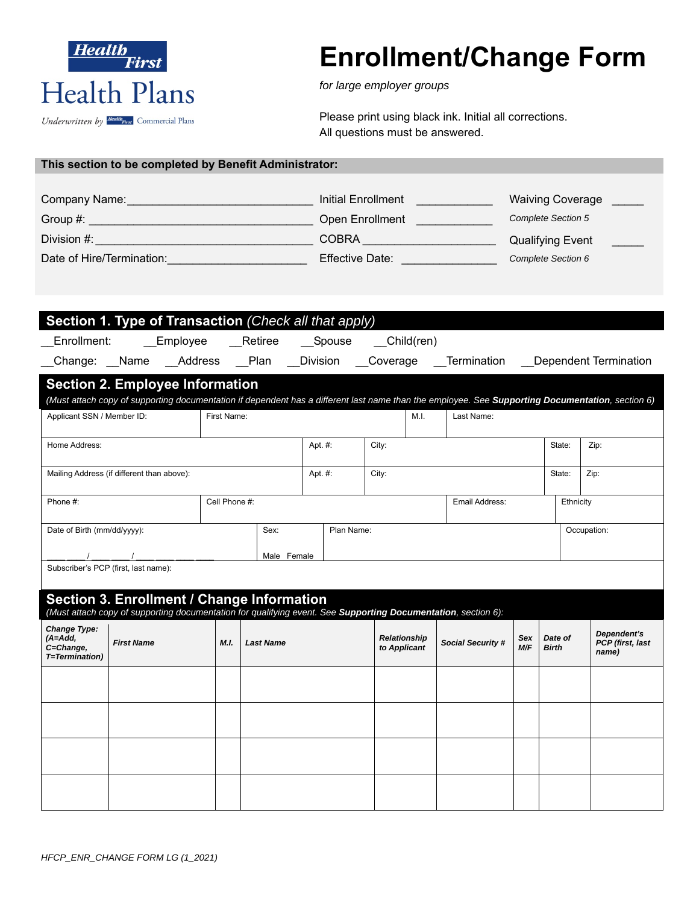

# **Enrollment/Change Form**

*for large employer groups* 

Please print using black ink. Initial all corrections. All questions must be answered.

|  |  |  |  | This section to be completed by Benefit Administrator: |
|--|--|--|--|--------------------------------------------------------|
|--|--|--|--|--------------------------------------------------------|

| Company Name:             | Initial Enrollment     | <b>Waiving Coverage</b>   |
|---------------------------|------------------------|---------------------------|
| Group #:                  | <b>Open Enrollment</b> | <b>Complete Section 5</b> |
| Division #:               | <b>COBRA</b>           | <b>Qualifying Event</b>   |
| Date of Hire/Termination: | <b>Effective Date:</b> | Complete Section 6        |

| Section 1. Type of Transaction (Check all that apply)                                                                                                       |                                                                                                                                                  |                  |          |                                     |                                                     |            |                         |                                          |  |  |
|-------------------------------------------------------------------------------------------------------------------------------------------------------------|--------------------------------------------------------------------------------------------------------------------------------------------------|------------------|----------|-------------------------------------|-----------------------------------------------------|------------|-------------------------|------------------------------------------|--|--|
| Employee<br>Enrollment:                                                                                                                                     | Retiree                                                                                                                                          |                  | __Spouse | Child(ren)                          |                                                     |            |                         |                                          |  |  |
| Change: Name Address Plan                                                                                                                                   |                                                                                                                                                  |                  |          |                                     | Division Coverage Termination Dependent Termination |            |                         |                                          |  |  |
| <b>Section 2. Employee Information</b>                                                                                                                      |                                                                                                                                                  |                  |          |                                     |                                                     |            |                         |                                          |  |  |
|                                                                                                                                                             | (Must attach copy of supporting documentation if dependent has a different last name than the employee. See Supporting Documentation, section 6) |                  |          |                                     |                                                     |            |                         |                                          |  |  |
| Applicant SSN / Member ID:                                                                                                                                  | First Name:                                                                                                                                      |                  |          | M.I.                                | Last Name:                                          |            |                         |                                          |  |  |
| Home Address:                                                                                                                                               |                                                                                                                                                  |                  | Apt. #:  | City:                               |                                                     |            | State:                  | Zip:                                     |  |  |
| Mailing Address (if different than above):                                                                                                                  |                                                                                                                                                  |                  | Apt. #:  | City:                               |                                                     |            | State:                  | Zip:                                     |  |  |
| Phone #:                                                                                                                                                    | Cell Phone #:                                                                                                                                    |                  |          |                                     | Email Address:                                      |            | Ethnicity               |                                          |  |  |
| Date of Birth (mm/dd/yyyy):                                                                                                                                 | Plan Name:<br>Occupation:                                                                                                                        |                  |          |                                     |                                                     |            |                         |                                          |  |  |
| $\sqrt{2}$<br>Male Female                                                                                                                                   |                                                                                                                                                  |                  |          |                                     |                                                     |            |                         |                                          |  |  |
| Subscriber's PCP (first, last name):                                                                                                                        |                                                                                                                                                  |                  |          |                                     |                                                     |            |                         |                                          |  |  |
| Section 3. Enrollment / Change Information<br>(Must attach copy of supporting documentation for qualifying event. See Supporting Documentation, section 6): |                                                                                                                                                  |                  |          |                                     |                                                     |            |                         |                                          |  |  |
| <b>Change Type:</b><br>$(A=Add,$<br><b>First Name</b><br>C=Change,<br>T=Termination)                                                                        | M.I.                                                                                                                                             | <b>Last Name</b> |          | <b>Relationship</b><br>to Applicant | <b>Social Security #</b>                            | Sex<br>M/F | Date of<br><b>Birth</b> | Dependent's<br>PCP (first, last<br>name) |  |  |
|                                                                                                                                                             |                                                                                                                                                  |                  |          |                                     |                                                     |            |                         |                                          |  |  |
|                                                                                                                                                             |                                                                                                                                                  |                  |          |                                     |                                                     |            |                         |                                          |  |  |
|                                                                                                                                                             |                                                                                                                                                  |                  |          |                                     |                                                     |            |                         |                                          |  |  |
|                                                                                                                                                             |                                                                                                                                                  |                  |          |                                     |                                                     |            |                         |                                          |  |  |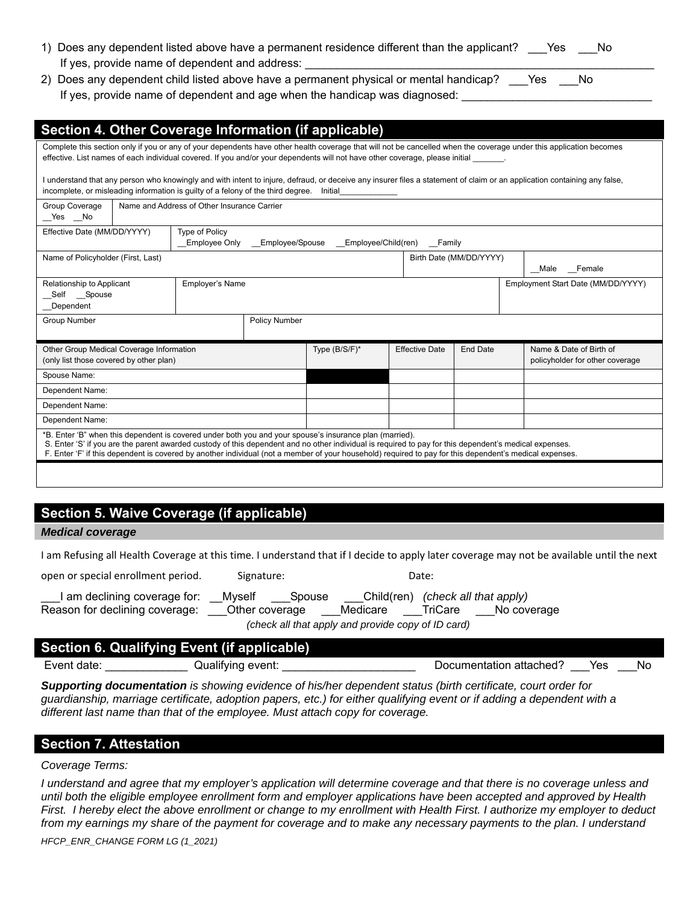| 1) Does any dependent listed above have a permanent residence different than the applicant? ___ Yes | Mo No |  |
|-----------------------------------------------------------------------------------------------------|-------|--|
| If yes, provide name of dependent and address:                                                      |       |  |

2) Does any dependent child listed above have a permanent physical or mental handicap? \_\_\_\_Yes \_\_\_\_No If yes, provide name of dependent and age when the handicap was diagnosed:

| Section 4. Other Coverage Information (if applicable)                                                                                                                                                                                                                                                                                                                                                                        |                                               |  |                                            |                       |                                           |                                                            |  |
|------------------------------------------------------------------------------------------------------------------------------------------------------------------------------------------------------------------------------------------------------------------------------------------------------------------------------------------------------------------------------------------------------------------------------|-----------------------------------------------|--|--------------------------------------------|-----------------------|-------------------------------------------|------------------------------------------------------------|--|
| Complete this section only if you or any of your dependents have other health coverage that will not be cancelled when the coverage under this application becomes<br>effective. List names of each individual covered. If you and/or your dependents will not have other coverage, please initial                                                                                                                           |                                               |  |                                            |                       |                                           |                                                            |  |
| I understand that any person who knowingly and with intent to injure, defraud, or deceive any insurer files a statement of claim or an application containing any false,<br>incomplete, or misleading information is quilty of a felony of the third degree. Initial                                                                                                                                                         |                                               |  |                                            |                       |                                           |                                                            |  |
| Group Coverage<br>Yes No                                                                                                                                                                                                                                                                                                                                                                                                     | Name and Address of Other Insurance Carrier   |  |                                            |                       |                                           |                                                            |  |
| Effective Date (MM/DD/YYYY)                                                                                                                                                                                                                                                                                                                                                                                                  | <b>Type of Policy</b><br><b>Employee Only</b> |  | Employee/Spouse Employee/Child(ren) Family |                       |                                           |                                                            |  |
| Name of Policyholder (First, Last)                                                                                                                                                                                                                                                                                                                                                                                           |                                               |  |                                            |                       | Birth Date (MM/DD/YYYY)<br>Female<br>Male |                                                            |  |
| <b>Employer's Name</b><br>Relationship to Applicant<br>Self Spouse<br>Dependent                                                                                                                                                                                                                                                                                                                                              |                                               |  | Employment Start Date (MM/DD/YYYY)         |                       |                                           |                                                            |  |
| <b>Group Number</b><br><b>Policy Number</b>                                                                                                                                                                                                                                                                                                                                                                                  |                                               |  |                                            |                       |                                           |                                                            |  |
| Other Group Medical Coverage Information<br>(only list those covered by other plan)                                                                                                                                                                                                                                                                                                                                          |                                               |  | Type (B/S/F)*                              | <b>Effective Date</b> | <b>End Date</b>                           | Name & Date of Birth of<br>policyholder for other coverage |  |
| Spouse Name:                                                                                                                                                                                                                                                                                                                                                                                                                 |                                               |  |                                            |                       |                                           |                                                            |  |
| Dependent Name:                                                                                                                                                                                                                                                                                                                                                                                                              |                                               |  |                                            |                       |                                           |                                                            |  |
| Dependent Name:                                                                                                                                                                                                                                                                                                                                                                                                              |                                               |  |                                            |                       |                                           |                                                            |  |
| Dependent Name:                                                                                                                                                                                                                                                                                                                                                                                                              |                                               |  |                                            |                       |                                           |                                                            |  |
| *B. Enter 'B" when this dependent is covered under both you and your spouse's insurance plan (married).<br>S. Enter 'S' if you are the parent awarded custody of this dependent and no other individual is required to pay for this dependent's medical expenses.<br>F. Enter 'F' if this dependent is covered by another individual (not a member of your household) required to pay for this dependent's medical expenses. |                                               |  |                                            |                       |                                           |                                                            |  |
|                                                                                                                                                                                                                                                                                                                                                                                                                              |                                               |  |                                            |                       |                                           |                                                            |  |

# **Section 5. Waive Coverage (if applicable)**

*Medical coverage* 

I am Refusing all Health Coverage at this time. I understand that if I decide to apply later coverage may not be available until the next

| open or special enrollment period.                               | Signature:                         | Date:                  |                                                  |  |  |
|------------------------------------------------------------------|------------------------------------|------------------------|--------------------------------------------------|--|--|
| l am declining coverage for: l<br>Reason for declining coverage: | Mvself<br>Spouse<br>Other coverage | Child(ren)<br>Medicare | (check all that apply)<br>TriCare<br>No coverage |  |  |
| (check all that apply and provide copy of ID card)               |                                    |                        |                                                  |  |  |

|             | Section 6. Qualifying Event (if applicable) |                         |     |    |
|-------------|---------------------------------------------|-------------------------|-----|----|
| Event date: | Qualifying event:                           | Documentation attached? | Yes | Nο |

*Supporting documentation is showing evidence of his/her dependent status (birth certificate, court order for guardianship, marriage certificate, adoption papers, etc.) for either qualifying event or if adding a dependent with a different last name than that of the employee. Must attach copy for coverage.* 

# **Section 7. Attestation**

#### *Coverage Terms:*

*I* understand and agree that my employer's application will determine coverage and that there is no coverage unless and *until both the eligible employee enrollment form and employer applications have been accepted and approved by Health First. I hereby elect the above enrollment or change to my enrollment with Health First. I authorize my employer to deduct*  from my earnings my share of the payment for coverage and to make any necessary payments to the plan. I understand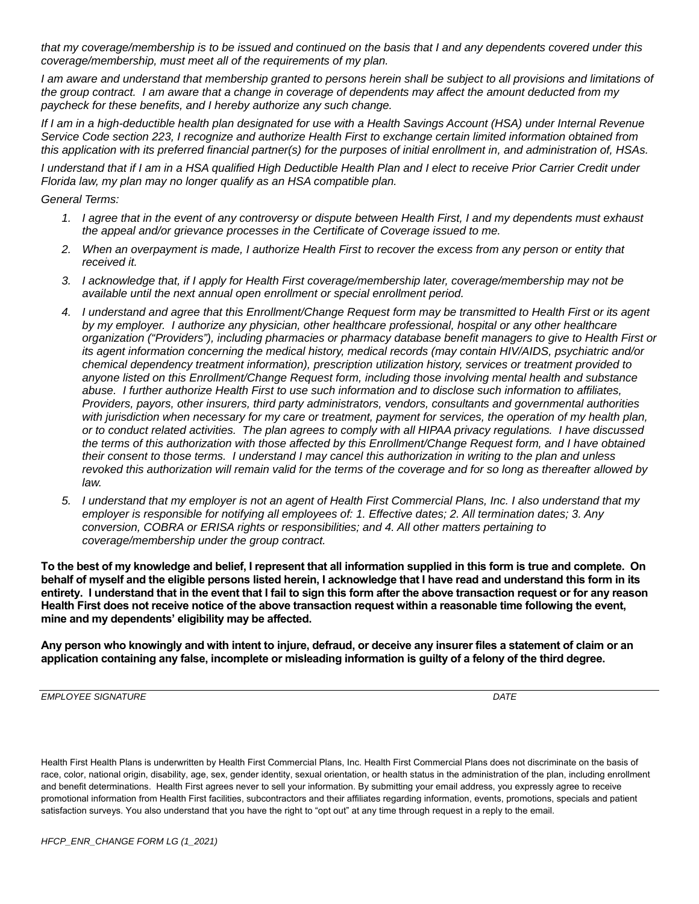*that my coverage/membership is to be issued and continued on the basis that I and any dependents covered under this coverage/membership, must meet all of the requirements of my plan.* 

*I am aware and understand that membership granted to persons herein shall be subject to all provisions and limitations of the group contract. I am aware that a change in coverage of dependents may affect the amount deducted from my paycheck for these benefits, and I hereby authorize any such change.* 

*If I am in a high-deductible health plan designated for use with a Health Savings Account (HSA) under Internal Revenue Service Code section 223, I recognize and authorize Health First to exchange certain limited information obtained from this application with its preferred financial partner(s) for the purposes of initial enrollment in, and administration of, HSAs.* 

*I understand that if I am in a HSA qualified High Deductible Health Plan and I elect to receive Prior Carrier Credit under Florida law, my plan may no longer qualify as an HSA compatible plan.* 

*General Terms:* 

- *1. I agree that in the event of any controversy or dispute between Health First, I and my dependents must exhaust the appeal and/or grievance processes in the Certificate of Coverage issued to me.*
- *2. When an overpayment is made, I authorize Health First to recover the excess from any person or entity that received it.*
- *3. I acknowledge that, if I apply for Health First coverage/membership later, coverage/membership may not be available until the next annual open enrollment or special enrollment period.*
- *4. I understand and agree that this Enrollment/Change Request form may be transmitted to Health First or its agent by my employer. I authorize any physician, other healthcare professional, hospital or any other healthcare organization ("Providers"), including pharmacies or pharmacy database benefit managers to give to Health First or its agent information concerning the medical history, medical records (may contain HIV/AIDS, psychiatric and/or chemical dependency treatment information), prescription utilization history, services or treatment provided to anyone listed on this Enrollment/Change Request form, including those involving mental health and substance abuse. I further authorize Health First to use such information and to disclose such information to affiliates, Providers, payors, other insurers, third party administrators, vendors, consultants and governmental authorities with jurisdiction when necessary for my care or treatment, payment for services, the operation of my health plan, or to conduct related activities. The plan agrees to comply with all HIPAA privacy regulations. I have discussed the terms of this authorization with those affected by this Enrollment/Change Request form, and I have obtained their consent to those terms. I understand I may cancel this authorization in writing to the plan and unless revoked this authorization will remain valid for the terms of the coverage and for so long as thereafter allowed by law.*
- *5. I understand that my employer is not an agent of Health First Commercial Plans, Inc. I also understand that my employer is responsible for notifying all employees of: 1. Effective dates; 2. All termination dates; 3. Any conversion, COBRA or ERISA rights or responsibilities; and 4. All other matters pertaining to coverage/membership under the group contract.*

**To the best of my knowledge and belief, I represent that all information supplied in this form is true and complete. On behalf of myself and the eligible persons listed herein, I acknowledge that I have read and understand this form in its entirety. I understand that in the event that I fail to sign this form after the above transaction request or for any reason Health First does not receive notice of the above transaction request within a reasonable time following the event, mine and my dependents' eligibility may be affected.** 

**Any person who knowingly and with intent to injure, defraud, or deceive any insurer files a statement of claim or an application containing any false, incomplete or misleading information is guilty of a felony of the third degree.** 

*EMPLOYEE SIGNATURE* DATE

Health First Health Plans is underwritten by Health First Commercial Plans, Inc. Health First Commercial Plans does not discriminate on the basis of race, color, national origin, disability, age, sex, gender identity, sexual orientation, or health status in the administration of the plan, including enrollment and benefit determinations. Health First agrees never to sell your information. By submitting your email address, you expressly agree to receive promotional information from Health First facilities, subcontractors and their affiliates regarding information, events, promotions, specials and patient satisfaction surveys. You also understand that you have the right to "opt out" at any time through request in a reply to the email.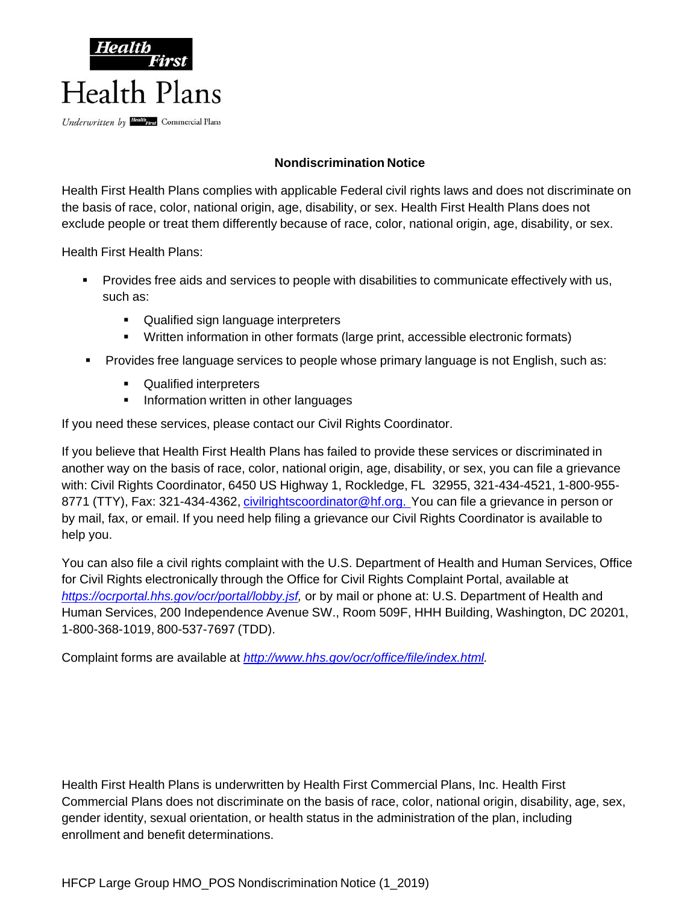

# **Nondiscrimination Notice**

Health First Health Plans complies with applicable Federal civil rights laws and does not discriminate on the basis of race, color, national origin, age, disability, or sex. Health First Health Plans does not exclude people or treat them differently because of race, color, national origin, age, disability, or sex.

Health First Health Plans:

- Provides free aids and services to people with disabilities to communicate effectively with us, such as:
	- **Qualified sign language interpreters**
	- Written information in other formats (large print, accessible electronic formats)
- Provides free language services to people whose primary language is not English, such as:
	- **•** Qualified interpreters
	- **Information written in other languages**

If you need these services, please contact our Civil Rights Coordinator.

If you believe that Health First Health Plans has failed to provide these services or discriminated in another way on the basis of race, color, national origin, age, disability, or sex, you can file a grievance with: Civil Rights Coordinator, 6450 US Highway 1, Rockledge, FL 32955, 321-434-4521, 1-800-955- 8771 (TTY), Fax: 321-434-4362, *civilrightscoordinator@hf.org.* You can file a grievance in person or by mail, fax, or email. If you need help filing a grievance our Civil Rights Coordinator is available to help you.

You can also file a civil rights complaint with the U.S. Department of Health and Human Services, Office for Civil Rights electronically through the Office for Civil Rights Complaint Portal, available at *https://ocrportal.hhs.gov/ocr/portal/lobby.jsf,* or by mail or phone at: U.S. Department of Health and Human Services, 200 Independence Avenue SW., Room 509F, HHH Building, Washington, DC 20201, 1-800-368-1019, 800-537-7697 (TDD).

Complaint forms are available at *http://www.hhs.gov/ocr/office/file/index.html.*

Health First Health Plans is underwritten by Health First Commercial Plans, Inc. Health First Commercial Plans does not discriminate on the basis of race, color, national origin, disability, age, sex, gender identity, sexual orientation, or health status in the administration of the plan, including enrollment and benefit determinations.

HFCP Large Group HMO\_POS Nondiscrimination Notice (1\_2019)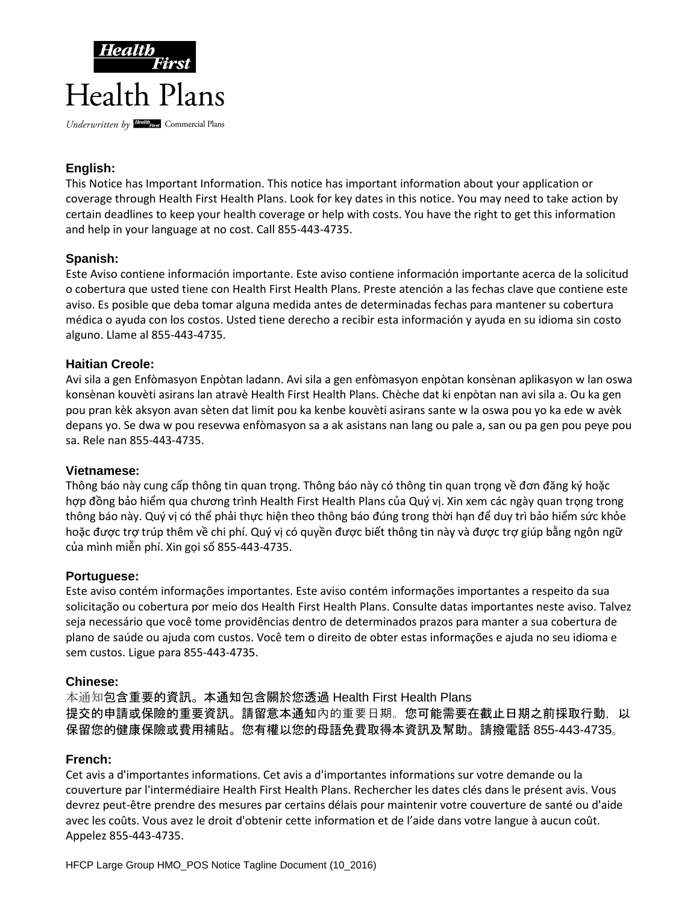

# **English:**

This Notice has Important Information. This notice has important information about your application or coverage through Health First Health Plans. Look for key dates in this notice. You may need to take action by certain deadlines to keep your health coverage or help with costs. You have the right to get this information and help in your language at no cost. Call 855-443-4735.

## **Spanish:**

Este Aviso contiene información importante. Este aviso contiene información importante acerca de la solicitud o cobertura que usted tiene con Health First Health Plans. Preste atención a las fechas clave que contiene este aviso. Es posible que deba tomar alguna medida antes de determinadas fechas para mantener su cobertura médica o ayuda con los costos. Usted tiene derecho a recibir esta información y ayuda en su idioma sin costo alguno. Llame al 855-443-4735.

## **Haitian Creole:**

Avi sila a gen Enfòmasyon Enpòtan ladann. Avi sila a gen enfòmasyon enpòtan konsènan aplikasyon w lan oswa konsènan kouvèti asirans lan atravè Health First Health Plans. Chèche dat ki enpòtan nan avi sila a. Ou ka gen pou pran kèk aksyon avan sèten dat limit pou ka kenbe kouvèti asirans sante w la oswa pou yo ka ede w avèk depans yo. Se dwa w pou resevwa enfòmasyon sa a ak asistans nan lang ou pale a, san ou pa gen pou peye pou sa. Rele nan 855-443-4735.

#### **Vietnamese:**

Thông báo này cung cấp thông tin quan trọng. Thông báo này có thông tin quan trọng về đơn đăng ký hoặc hợp đồng bảo hiểm qua chương trình Health First Health Plans của Quý vị. Xin xem các ngày quan trọng trong thông báo này. Quý vị có thể phải thực hiện theo thông báo đúng trong thời hạn để duy trì bảo hiểm sức khỏe hoặc được trợ trúp thêm về chi phí. Quý vị có quyền được biết thông tin này và được trợ giúp bằng ngôn ngữ của mình miễn phí. Xin gọi số 855-443-4735.

#### **Portuguese:**

Este aviso contém informações importantes. Este aviso contém informações importantes a respeito da sua solicitação ou cobertura por meio dos Health First Health Plans. Consulte datas importantes neste aviso. Talvez seja necessário que você tome providências dentro de determinados prazos para manter a sua cobertura de plano de saúde ou ajuda com custos. Você tem o direito de obter estas informações e ajuda no seu idioma e sem custos. Ligue para 855-443-4735.

#### **Chinese:**

本通知包含重要的資訊。本通知包含關於您透過 Health First Health Plans 提交的申請或保險的重要資訊。請留意本通知內的重要日期。您可能需要在截止日期之前採取行動,以 保留您的健康保險或費用補貼。您有權以您的母語免費取得本資訊及幫助。請撥電話 855-443-4735。

#### **French:**

Cet avis a d'importantes informations. Cet avis a d'importantes informations sur votre demande ou la couverture par l'intermédiaire Health First Health Plans. Rechercher les dates clés dans le présent avis. Vous devrez peut-être prendre des mesures par certains délais pour maintenir votre couverture de santé ou d'aide avec les coûts. Vous avez le droit d'obtenir cette information et de l'aide dans votre langue à aucun coût. Appelez 855-443-4735.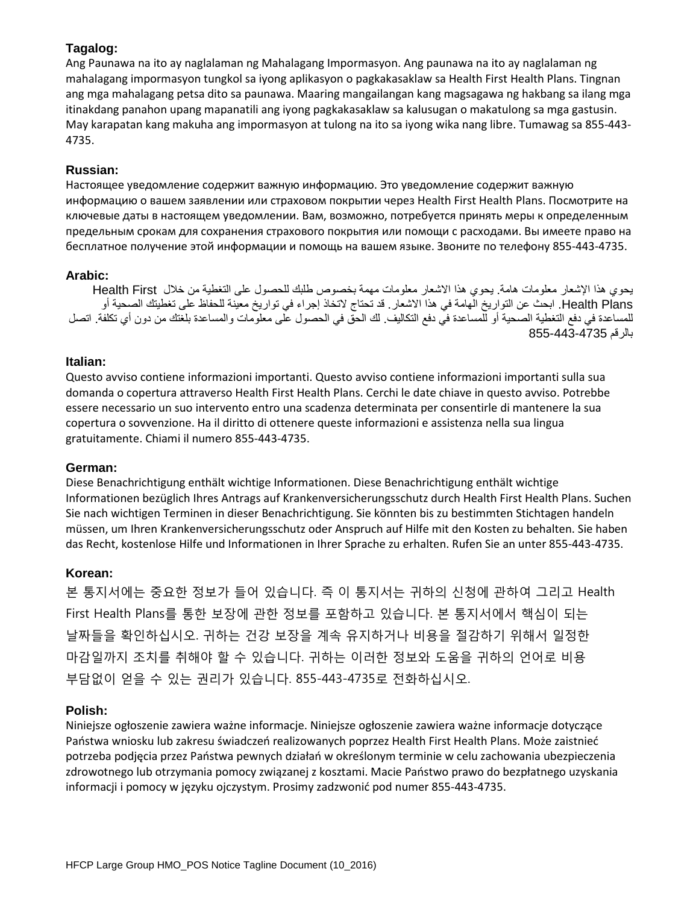# **Tagalog:**

Ang Paunawa na ito ay naglalaman ng Mahalagang Impormasyon. Ang paunawa na ito ay naglalaman ng mahalagang impormasyon tungkol sa iyong aplikasyon o pagkakasaklaw sa Health First Health Plans. Tingnan ang mga mahalagang petsa dito sa paunawa. Maaring mangailangan kang magsagawa ng hakbang sa ilang mga itinakdang panahon upang mapanatili ang iyong pagkakasaklaw sa kalusugan o makatulong sa mga gastusin. May karapatan kang makuha ang impormasyon at tulong na ito sa iyong wika nang libre. Tumawag sa 855-443- 4735.

# **Russian:**

Настоящее уведомление содержит важную информацию. Это уведомление содержит важную информацию о вашем заявлении или страховом покрытии через Health First Health Plans. Посмотрите на ключевые даты в настоящем уведомлении. Вам, возможно, потребуется принять меры к определенным предельным срокам для сохранения страхового покрытия или помощи с расходами. Вы имеете право на бесплатное получение этой информации и помощь на вашем языке. Звоните по телефону 855-443-4735.

## **Arabic:**

يجو ي هذا الإشعار معلومات هامة. يجوي هذا الإشعار معلومات مهمة بخصوص طلبك للحصول على التغطية من خلال Health First Health Plans. ابحث عن التواريخ الهامة في هذا الاشعار . قد تحتاج لاتخاذ إجراء في تواريخ معينة للحفاظ على تغطيتك الصحية أو للمساعدة في دفع التغطية الصحية أو للمساعدة في دفع التكاليف. لك الحقّ في الحصول على معلومات والمساعدة بلغتك من دون أي تكلفة. اتصل بالرقم 4735-443-855

## **Italian:**

Questo avviso contiene informazioni importanti. Questo avviso contiene informazioni importanti sulla sua domanda o copertura attraverso Health First Health Plans. Cerchi le date chiave in questo avviso. Potrebbe essere necessario un suo intervento entro una scadenza determinata per consentirle di mantenere la sua copertura o sovvenzione. Ha il diritto di ottenere queste informazioni e assistenza nella sua lingua gratuitamente. Chiami il numero 855-443-4735.

## **German:**

Diese Benachrichtigung enthält wichtige Informationen. Diese Benachrichtigung enthält wichtige Informationen bezüglich Ihres Antrags auf Krankenversicherungsschutz durch Health First Health Plans. Suchen Sie nach wichtigen Terminen in dieser Benachrichtigung. Sie könnten bis zu bestimmten Stichtagen handeln müssen, um Ihren Krankenversicherungsschutz oder Anspruch auf Hilfe mit den Kosten zu behalten. Sie haben das Recht, kostenlose Hilfe und Informationen in Ihrer Sprache zu erhalten. Rufen Sie an unter 855-443-4735.

## **Korean:**

본 통지서에는 중요한 정보가 들어 있습니다. 즉 이 통지서는 귀하의 신청에 관하여 그리고 Health First Health Plans를 통한 보장에 관한 정보를 포함하고 있습니다. 본 통지서에서 핵심이 되는 날짜들을 확인하십시오. 귀하는 건강 보장을 계속 유지하거나 비용을 절감하기 위해서 일정한 마감일까지 조치를 취해야 할 수 있습니다. 귀하는 이러한 정보와 도움을 귀하의 언어로 비용 부담없이 얻을 수 있는 권리가 있습니다. 855-443-4735로 전화하십시오.

## **Polish:**

Niniejsze ogłoszenie zawiera ważne informacje. Niniejsze ogłoszenie zawiera ważne informacje dotyczące Państwa wniosku lub zakresu świadczeń realizowanych poprzez Health First Health Plans. Może zaistnieć potrzeba podjęcia przez Państwa pewnych działań w określonym terminie w celu zachowania ubezpieczenia zdrowotnego lub otrzymania pomocy związanej z kosztami. Macie Państwo prawo do bezpłatnego uzyskania informacji i pomocy w języku ojczystym. Prosimy zadzwonić pod numer 855-443-4735.